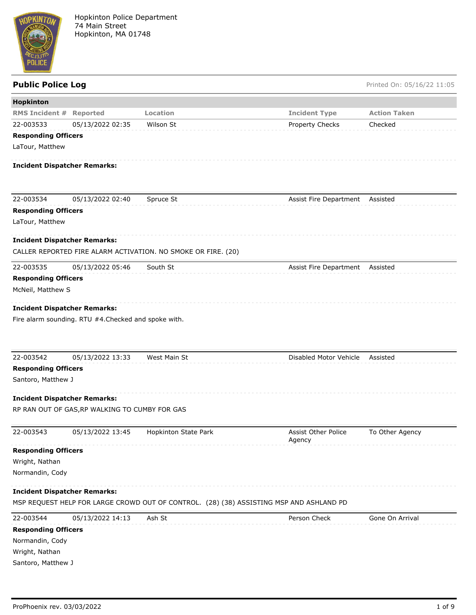

**Public Police Log** Printed On: 05/16/22 11:05

| Hopkinton                  |                                                      |                                                                                         |                                      |                     |
|----------------------------|------------------------------------------------------|-----------------------------------------------------------------------------------------|--------------------------------------|---------------------|
| <b>RMS Incident #</b>      | <b>Reported</b>                                      | Location                                                                                | <b>Incident Type</b>                 | <b>Action Taken</b> |
| 22-003533                  | 05/13/2022 02:35                                     | Wilson St                                                                               | Property Checks                      | Checked             |
| <b>Responding Officers</b> |                                                      |                                                                                         |                                      |                     |
| LaTour, Matthew            |                                                      |                                                                                         |                                      |                     |
|                            | <b>Incident Dispatcher Remarks:</b>                  |                                                                                         |                                      |                     |
| 22-003534                  | 05/13/2022 02:40                                     | Spruce St                                                                               | Assist Fire Department Assisted      |                     |
| <b>Responding Officers</b> |                                                      |                                                                                         |                                      |                     |
| LaTour, Matthew            |                                                      |                                                                                         |                                      |                     |
|                            | <b>Incident Dispatcher Remarks:</b>                  |                                                                                         |                                      |                     |
|                            |                                                      | CALLER REPORTED FIRE ALARM ACTIVATION. NO SMOKE OR FIRE. (20)                           |                                      |                     |
| 22-003535                  | 05/13/2022 05:46                                     | South St                                                                                | Assist Fire Department Assisted      |                     |
| <b>Responding Officers</b> |                                                      |                                                                                         |                                      |                     |
| McNeil, Matthew S          |                                                      |                                                                                         |                                      |                     |
|                            | <b>Incident Dispatcher Remarks:</b>                  |                                                                                         |                                      |                     |
|                            | Fire alarm sounding. RTU #4. Checked and spoke with. |                                                                                         |                                      |                     |
|                            |                                                      |                                                                                         |                                      |                     |
|                            |                                                      |                                                                                         |                                      |                     |
| 22-003542                  | 05/13/2022 13:33                                     | West Main St                                                                            | Disabled Motor Vehicle               | Assisted            |
| <b>Responding Officers</b> |                                                      |                                                                                         |                                      |                     |
| Santoro, Matthew J         |                                                      |                                                                                         |                                      |                     |
|                            |                                                      |                                                                                         |                                      |                     |
|                            | <b>Incident Dispatcher Remarks:</b>                  |                                                                                         |                                      |                     |
|                            | RP RAN OUT OF GAS, RP WALKING TO CUMBY FOR GAS       |                                                                                         |                                      |                     |
| 22-003543                  | 05/13/2022 13:45                                     | Hopkinton State Park                                                                    | <b>Assist Other Police</b><br>Agency | To Other Agency     |
| <b>Responding Officers</b> |                                                      |                                                                                         |                                      |                     |
| Wright, Nathan             |                                                      |                                                                                         |                                      |                     |
| Normandin, Cody            |                                                      |                                                                                         |                                      |                     |
|                            | <b>Incident Dispatcher Remarks:</b>                  |                                                                                         |                                      |                     |
|                            |                                                      | MSP REQUEST HELP FOR LARGE CROWD OUT OF CONTROL. (28) (38) ASSISTING MSP AND ASHLAND PD |                                      |                     |
| 22-003544                  | 05/13/2022 14:13                                     | Ash St                                                                                  | Person Check                         | Gone On Arrival     |
| <b>Responding Officers</b> |                                                      |                                                                                         |                                      |                     |
| Normandin, Cody            |                                                      |                                                                                         |                                      |                     |
| Wright, Nathan             |                                                      |                                                                                         |                                      |                     |
| Santoro, Matthew J         |                                                      |                                                                                         |                                      |                     |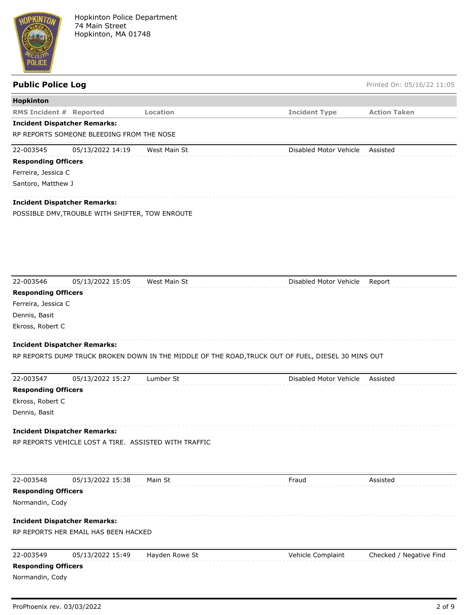

| <b>Public Police Log</b>       |                                                       |                                                                                                    |                        | Printed On: 05/16/22 11:05 |
|--------------------------------|-------------------------------------------------------|----------------------------------------------------------------------------------------------------|------------------------|----------------------------|
| Hopkinton                      |                                                       |                                                                                                    |                        |                            |
| <b>RMS Incident # Reported</b> |                                                       | Location                                                                                           | <b>Incident Type</b>   | <b>Action Taken</b>        |
|                                | <b>Incident Dispatcher Remarks:</b>                   |                                                                                                    |                        |                            |
|                                | RP REPORTS SOMEONE BLEEDING FROM THE NOSE             |                                                                                                    |                        |                            |
| 22-003545                      | 05/13/2022 14:19                                      | West Main St                                                                                       | Disabled Motor Vehicle | Assisted                   |
| <b>Responding Officers</b>     |                                                       |                                                                                                    |                        |                            |
| Ferreira, Jessica C            |                                                       |                                                                                                    |                        |                            |
| Santoro, Matthew J             |                                                       |                                                                                                    |                        |                            |
|                                | <b>Incident Dispatcher Remarks:</b>                   |                                                                                                    |                        |                            |
|                                | POSSIBLE DMV, TROUBLE WITH SHIFTER, TOW ENROUTE       |                                                                                                    |                        |                            |
|                                |                                                       |                                                                                                    |                        |                            |
|                                |                                                       |                                                                                                    |                        |                            |
|                                |                                                       |                                                                                                    |                        |                            |
|                                |                                                       |                                                                                                    |                        |                            |
|                                |                                                       |                                                                                                    |                        |                            |
| 22-003546                      | 05/13/2022 15:05                                      | West Main St                                                                                       | Disabled Motor Vehicle | Report                     |
| <b>Responding Officers</b>     |                                                       |                                                                                                    |                        |                            |
| Ferreira, Jessica C            |                                                       |                                                                                                    |                        |                            |
| Dennis, Basit                  |                                                       |                                                                                                    |                        |                            |
| Ekross, Robert C               |                                                       |                                                                                                    |                        |                            |
|                                |                                                       |                                                                                                    |                        |                            |
|                                | <b>Incident Dispatcher Remarks:</b>                   |                                                                                                    |                        |                            |
|                                |                                                       | RP REPORTS DUMP TRUCK BROKEN DOWN IN THE MIDDLE OF THE ROAD, TRUCK OUT OF FUEL, DIESEL 30 MINS OUT |                        |                            |
| 22-003547                      | 05/13/2022 15:27                                      | Lumber St                                                                                          | Disabled Motor Vehicle | Assisted                   |
| <b>Responding Officers</b>     |                                                       |                                                                                                    |                        |                            |
| Ekross, Robert C               |                                                       |                                                                                                    |                        |                            |
| Dennis, Basit                  |                                                       |                                                                                                    |                        |                            |
|                                | <b>Incident Dispatcher Remarks:</b>                   |                                                                                                    |                        |                            |
|                                | RP REPORTS VEHICLE LOST A TIRE. ASSISTED WITH TRAFFIC |                                                                                                    |                        |                            |
|                                |                                                       |                                                                                                    |                        |                            |
|                                |                                                       |                                                                                                    |                        |                            |
| 22-003548                      | 05/13/2022 15:38                                      | Main St                                                                                            | Fraud                  | Assisted                   |
| <b>Responding Officers</b>     |                                                       |                                                                                                    |                        |                            |
| Normandin, Cody                |                                                       |                                                                                                    |                        |                            |
|                                | <b>Incident Dispatcher Remarks:</b>                   |                                                                                                    |                        |                            |
|                                | RP REPORTS HER EMAIL HAS BEEN HACKED                  |                                                                                                    |                        |                            |
|                                |                                                       |                                                                                                    |                        |                            |
| 22-003549                      | 05/13/2022 15:49                                      | Hayden Rowe St                                                                                     | Vehicle Complaint      | Checked / Negative Find    |
| <b>Responding Officers</b>     |                                                       |                                                                                                    |                        |                            |
| Normandin, Cody                |                                                       |                                                                                                    |                        |                            |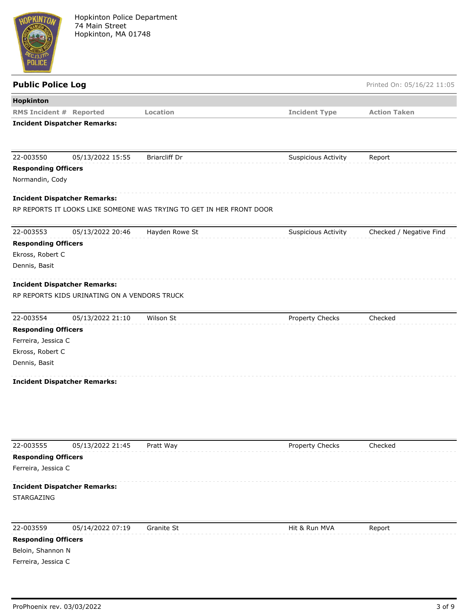

| <b>Public Police Log</b>       |                                              |                                                                      |                            | Printed On: 05/16/22 11:05 |
|--------------------------------|----------------------------------------------|----------------------------------------------------------------------|----------------------------|----------------------------|
| Hopkinton                      |                                              |                                                                      |                            |                            |
| <b>RMS Incident # Reported</b> |                                              | Location                                                             | <b>Incident Type</b>       | <b>Action Taken</b>        |
|                                | <b>Incident Dispatcher Remarks:</b>          |                                                                      |                            |                            |
|                                |                                              |                                                                      |                            |                            |
| 22-003550                      | 05/13/2022 15:55                             | <b>Briarcliff Dr</b>                                                 | <b>Suspicious Activity</b> | Report                     |
| <b>Responding Officers</b>     |                                              |                                                                      |                            |                            |
| Normandin, Cody                |                                              |                                                                      |                            |                            |
|                                | <b>Incident Dispatcher Remarks:</b>          |                                                                      |                            |                            |
|                                |                                              | RP REPORTS IT LOOKS LIKE SOMEONE WAS TRYING TO GET IN HER FRONT DOOR |                            |                            |
| 22-003553                      | 05/13/2022 20:46                             | Hayden Rowe St                                                       | <b>Suspicious Activity</b> | Checked / Negative Find    |
| <b>Responding Officers</b>     |                                              |                                                                      |                            |                            |
| Ekross, Robert C               |                                              |                                                                      |                            |                            |
| Dennis, Basit                  |                                              |                                                                      |                            |                            |
|                                | <b>Incident Dispatcher Remarks:</b>          |                                                                      |                            |                            |
|                                | RP REPORTS KIDS URINATING ON A VENDORS TRUCK |                                                                      |                            |                            |
| 22-003554                      | 05/13/2022 21:10                             | Wilson St                                                            | Property Checks            | Checked                    |
| <b>Responding Officers</b>     |                                              |                                                                      |                            |                            |
| Ferreira, Jessica C            |                                              |                                                                      |                            |                            |
| Ekross, Robert C               |                                              |                                                                      |                            |                            |
| Dennis, Basit                  |                                              |                                                                      |                            |                            |
|                                | <b>Incident Dispatcher Remarks:</b>          |                                                                      |                            |                            |
|                                |                                              |                                                                      |                            |                            |
| 22-003555                      | 05/13/2022 21:45                             | Pratt Way                                                            | Property Checks            | Checked                    |
| <b>Responding Officers</b>     |                                              |                                                                      |                            |                            |
| Ferreira, Jessica C            |                                              |                                                                      |                            |                            |
|                                | <b>Incident Dispatcher Remarks:</b>          |                                                                      |                            |                            |
| STARGAZING                     |                                              |                                                                      |                            |                            |
| 22-003559                      | 05/14/2022 07:19                             | Granite St                                                           | Hit & Run MVA              | Report                     |
| <b>Responding Officers</b>     |                                              |                                                                      |                            |                            |
| Beloin, Shannon N              |                                              |                                                                      |                            |                            |

Ferreira, Jessica C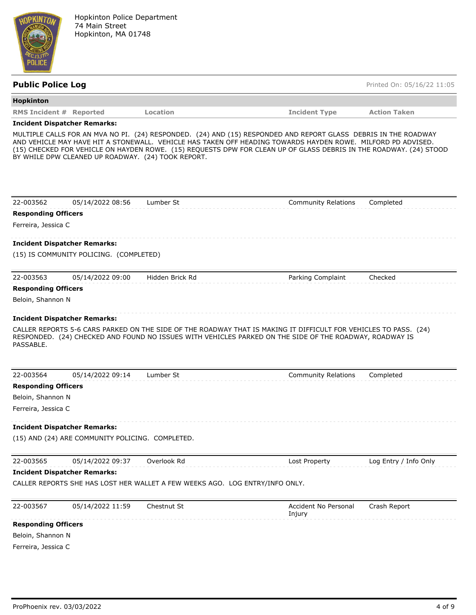

| <b>Public Police Log</b>       |                                                    |                 |                                                                                                                                                                                                                                                                                                                                                       | Printed On: 05/16/22 11:05 |
|--------------------------------|----------------------------------------------------|-----------------|-------------------------------------------------------------------------------------------------------------------------------------------------------------------------------------------------------------------------------------------------------------------------------------------------------------------------------------------------------|----------------------------|
| Hopkinton                      |                                                    |                 |                                                                                                                                                                                                                                                                                                                                                       |                            |
| <b>RMS Incident # Reported</b> |                                                    | Location        | <b>Incident Type</b>                                                                                                                                                                                                                                                                                                                                  | <b>Action Taken</b>        |
|                                | <b>Incident Dispatcher Remarks:</b>                |                 |                                                                                                                                                                                                                                                                                                                                                       |                            |
|                                | BY WHILE DPW CLEANED UP ROADWAY. (24) TOOK REPORT. |                 | MULTIPLE CALLS FOR AN MVA NO PI. (24) RESPONDED. (24) AND (15) RESPONDED AND REPORT GLASS DEBRIS IN THE ROADWAY<br>AND VEHICLE MAY HAVE HIT A STONEWALL. VEHICLE HAS TAKEN OFF HEADING TOWARDS HAYDEN ROWE. MILFORD PD ADVISED.<br>(15) CHECKED FOR VEHICLE ON HAYDEN ROWE. (15) REQUESTS DPW FOR CLEAN UP OF GLASS DEBRIS IN THE ROADWAY. (24) STOOD |                            |
| 22-003562                      | 05/14/2022 08:56                                   | Lumber St       | <b>Community Relations</b>                                                                                                                                                                                                                                                                                                                            | Completed                  |
| <b>Responding Officers</b>     |                                                    |                 |                                                                                                                                                                                                                                                                                                                                                       |                            |
| Ferreira, Jessica C            |                                                    |                 |                                                                                                                                                                                                                                                                                                                                                       |                            |
|                                | <b>Incident Dispatcher Remarks:</b>                |                 |                                                                                                                                                                                                                                                                                                                                                       |                            |
|                                | (15) IS COMMUNITY POLICING. (COMPLETED)            |                 |                                                                                                                                                                                                                                                                                                                                                       |                            |
| 22-003563                      | 05/14/2022 09:00                                   | Hidden Brick Rd | Parking Complaint                                                                                                                                                                                                                                                                                                                                     | Checked                    |
| <b>Responding Officers</b>     |                                                    |                 |                                                                                                                                                                                                                                                                                                                                                       |                            |
| Beloin, Shannon N              |                                                    |                 |                                                                                                                                                                                                                                                                                                                                                       |                            |
|                                | <b>Incident Dispatcher Remarks:</b>                |                 |                                                                                                                                                                                                                                                                                                                                                       |                            |
| PASSABLE.                      |                                                    |                 | CALLER REPORTS 5-6 CARS PARKED ON THE SIDE OF THE ROADWAY THAT IS MAKING IT DIFFICULT FOR VEHICLES TO PASS. (24)<br>RESPONDED. (24) CHECKED AND FOUND NO ISSUES WITH VEHICLES PARKED ON THE SIDE OF THE ROADWAY, ROADWAY IS                                                                                                                           |                            |
| 22-003564                      | 05/14/2022 09:14                                   | Lumber St       | <b>Community Relations</b>                                                                                                                                                                                                                                                                                                                            | Completed                  |
| <b>Responding Officers</b>     |                                                    |                 |                                                                                                                                                                                                                                                                                                                                                       |                            |
| Beloin, Shannon N              |                                                    |                 |                                                                                                                                                                                                                                                                                                                                                       |                            |
| Ferreira, Jessica C            |                                                    |                 |                                                                                                                                                                                                                                                                                                                                                       |                            |
|                                | <b>Incident Dispatcher Remarks:</b>                |                 |                                                                                                                                                                                                                                                                                                                                                       |                            |
|                                | (15) AND (24) ARE COMMUNITY POLICING. COMPLETED.   |                 |                                                                                                                                                                                                                                                                                                                                                       |                            |
| 22-003565                      | 05/14/2022 09:37                                   | Overlook Rd     | Lost Property                                                                                                                                                                                                                                                                                                                                         | Log Entry / Info Only      |
|                                | <b>Incident Dispatcher Remarks:</b>                |                 |                                                                                                                                                                                                                                                                                                                                                       |                            |
|                                |                                                    |                 | CALLER REPORTS SHE HAS LOST HER WALLET A FEW WEEKS AGO. LOG ENTRY/INFO ONLY.                                                                                                                                                                                                                                                                          |                            |
| 22-003567                      | 05/14/2022 11:59                                   | Chestnut St     | Accident No Personal<br>Injury                                                                                                                                                                                                                                                                                                                        | Crash Report               |
| <b>Responding Officers</b>     |                                                    |                 |                                                                                                                                                                                                                                                                                                                                                       |                            |
| Beloin, Shannon N              |                                                    |                 |                                                                                                                                                                                                                                                                                                                                                       |                            |
| Ferreira, Jessica C            |                                                    |                 |                                                                                                                                                                                                                                                                                                                                                       |                            |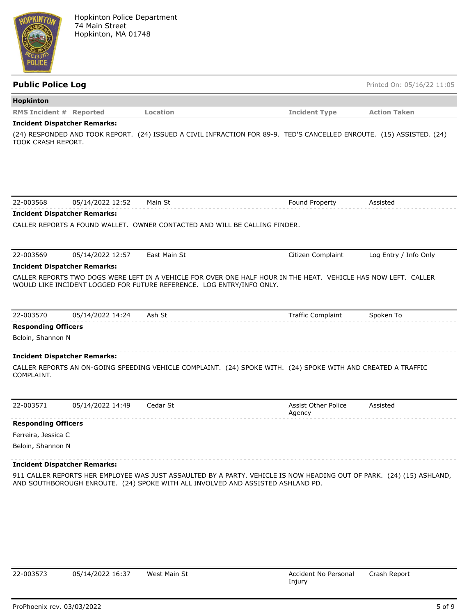

**Public Police Log** Printed On: 05/16/22 11:05

## **Hopkinton RMS Incident # Reported Location Incident Type Action Taken**

### **Incident Dispatcher Remarks:**

(24) RESPONDED AND TOOK REPORT. (24) ISSUED A CIVIL INFRACTION FOR 89-9. TED'S CANCELLED ENROUTE. (15) ASSISTED. (24) TOOK CRASH REPORT.

| 22-003568                  | 05/14/2022 12:52                    | Main St                                                                                                                                                                                  | Found Property                       | Assisted              |
|----------------------------|-------------------------------------|------------------------------------------------------------------------------------------------------------------------------------------------------------------------------------------|--------------------------------------|-----------------------|
|                            | <b>Incident Dispatcher Remarks:</b> |                                                                                                                                                                                          |                                      |                       |
|                            |                                     | CALLER REPORTS A FOUND WALLET. OWNER CONTACTED AND WILL BE CALLING FINDER.                                                                                                               |                                      |                       |
|                            |                                     |                                                                                                                                                                                          |                                      |                       |
| 22-003569                  | 05/14/2022 12:57                    | East Main St                                                                                                                                                                             | Citizen Complaint                    | Log Entry / Info Only |
|                            | <b>Incident Dispatcher Remarks:</b> |                                                                                                                                                                                          |                                      |                       |
|                            |                                     | CALLER REPORTS TWO DOGS WERE LEFT IN A VEHICLE FOR OVER ONE HALF HOUR IN THE HEAT. VEHICLE HAS NOW LEFT. CALLER<br>WOULD LIKE INCIDENT LOGGED FOR FUTURE REFERENCE. LOG ENTRY/INFO ONLY. |                                      |                       |
| 22-003570                  | 05/14/2022 14:24                    | Ash St                                                                                                                                                                                   | <b>Traffic Complaint</b>             | Spoken To             |
| <b>Responding Officers</b> |                                     |                                                                                                                                                                                          |                                      |                       |
| Beloin, Shannon N          |                                     |                                                                                                                                                                                          |                                      |                       |
|                            | <b>Incident Dispatcher Remarks:</b> |                                                                                                                                                                                          |                                      |                       |
| COMPLAINT.                 |                                     | CALLER REPORTS AN ON-GOING SPEEDING VEHICLE COMPLAINT. (24) SPOKE WITH. (24) SPOKE WITH AND CREATED A TRAFFIC                                                                            |                                      |                       |
| 22-003571                  | 05/14/2022 14:49                    | Cedar St                                                                                                                                                                                 | <b>Assist Other Police</b><br>Agency | Assisted              |
| <b>Responding Officers</b> |                                     |                                                                                                                                                                                          |                                      |                       |
| Ferreira, Jessica C        |                                     |                                                                                                                                                                                          |                                      |                       |
| Beloin, Shannon N          |                                     |                                                                                                                                                                                          |                                      |                       |

### **Incident Dispatcher Remarks:**

911 CALLER REPORTS HER EMPLOYEE WAS JUST ASSAULTED BY A PARTY. VEHICLE IS NOW HEADING OUT OF PARK. (24) (15) ASHLAND, AND SOUTHBOROUGH ENROUTE. (24) SPOKE WITH ALL INVOLVED AND ASSISTED ASHLAND PD.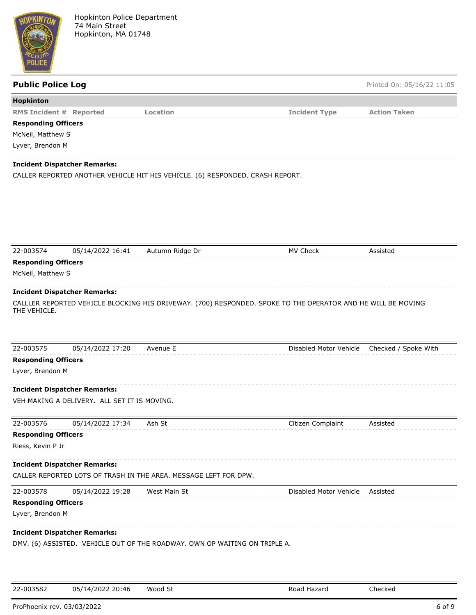

**Public Police Log** Printed On: 05/16/22 11:05

| Hopkinton                           |                                              |                                                                                                              |                        |                      |
|-------------------------------------|----------------------------------------------|--------------------------------------------------------------------------------------------------------------|------------------------|----------------------|
| <b>RMS Incident # Reported</b>      |                                              | Location                                                                                                     | <b>Incident Type</b>   | <b>Action Taken</b>  |
| <b>Responding Officers</b>          |                                              |                                                                                                              |                        |                      |
| McNeil, Matthew S                   |                                              |                                                                                                              |                        |                      |
| Lyver, Brendon M                    |                                              |                                                                                                              |                        |                      |
| <b>Incident Dispatcher Remarks:</b> |                                              |                                                                                                              |                        |                      |
|                                     |                                              | CALLER REPORTED ANOTHER VEHICLE HIT HIS VEHICLE. (6) RESPONDED. CRASH REPORT.                                |                        |                      |
|                                     |                                              |                                                                                                              |                        |                      |
|                                     |                                              |                                                                                                              |                        |                      |
|                                     |                                              |                                                                                                              |                        |                      |
|                                     |                                              |                                                                                                              |                        |                      |
|                                     |                                              |                                                                                                              |                        |                      |
|                                     |                                              |                                                                                                              |                        |                      |
| 22-003574                           | 05/14/2022 16:41                             | Autumn Ridge Dr                                                                                              | MV Check               | Assisted             |
| <b>Responding Officers</b>          |                                              |                                                                                                              |                        |                      |
| McNeil, Matthew S                   |                                              |                                                                                                              |                        |                      |
|                                     |                                              |                                                                                                              |                        |                      |
| <b>Incident Dispatcher Remarks:</b> |                                              |                                                                                                              |                        |                      |
|                                     |                                              | CALLLER REPORTED VEHICLE BLOCKING HIS DRIVEWAY. (700) RESPONDED. SPOKE TO THE OPERATOR AND HE WILL BE MOVING |                        |                      |
| THE VEHICLE.                        |                                              |                                                                                                              |                        |                      |
|                                     |                                              |                                                                                                              |                        |                      |
|                                     |                                              |                                                                                                              |                        |                      |
| 22-003575                           | 05/14/2022 17:20                             | Avenue E                                                                                                     | Disabled Motor Vehicle | Checked / Spoke With |
| <b>Responding Officers</b>          |                                              |                                                                                                              |                        |                      |
| Lyver, Brendon M                    |                                              |                                                                                                              |                        |                      |
|                                     |                                              |                                                                                                              |                        |                      |
| <b>Incident Dispatcher Remarks:</b> |                                              |                                                                                                              |                        |                      |
|                                     | VEH MAKING A DELIVERY. ALL SET IT IS MOVING. |                                                                                                              |                        |                      |
|                                     |                                              |                                                                                                              |                        |                      |
| 22-003576                           | 05/14/2022 17:34                             | Ash St                                                                                                       | Citizen Complaint      | Assisted             |
| <b>Responding Officers</b>          |                                              |                                                                                                              |                        |                      |
| Riess, Kevin P Jr                   |                                              |                                                                                                              |                        |                      |
|                                     |                                              |                                                                                                              |                        |                      |
| <b>Incident Dispatcher Remarks:</b> |                                              |                                                                                                              |                        |                      |
|                                     |                                              | CALLER REPORTED LOTS OF TRASH IN THE AREA. MESSAGE LEFT FOR DPW.                                             |                        |                      |
|                                     |                                              |                                                                                                              |                        |                      |
| 22-003578                           | 05/14/2022 19:28                             | West Main St                                                                                                 | Disabled Motor Vehicle | Assisted             |
| <b>Responding Officers</b>          |                                              |                                                                                                              |                        |                      |
| Lyver, Brendon M                    |                                              |                                                                                                              |                        |                      |
|                                     |                                              |                                                                                                              |                        |                      |
| <b>Incident Dispatcher Remarks:</b> |                                              |                                                                                                              |                        |                      |

DMV. (6) ASSISTED. VEHICLE OUT OF THE ROADWAY. OWN OP WAITING ON TRIPLE A.

| 22-003582 | 05/14/2022 20:46 | Wood St | Road Hazard | Checked |
|-----------|------------------|---------|-------------|---------|
|           |                  |         |             |         |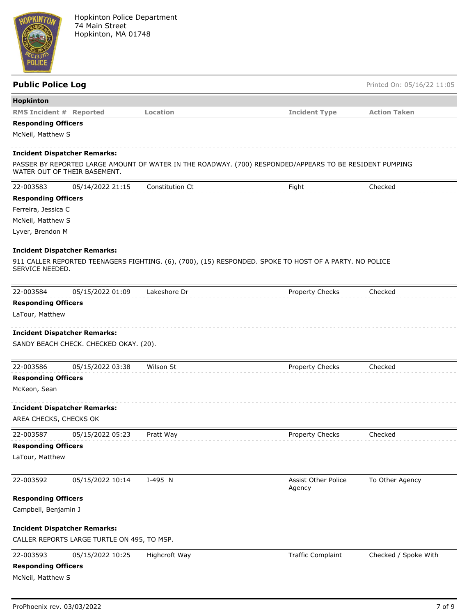

| <b>Public Police Log</b>       |                                             |                 |                                                                                                         | Printed On: 05/16/22 11:05 |
|--------------------------------|---------------------------------------------|-----------------|---------------------------------------------------------------------------------------------------------|----------------------------|
| Hopkinton                      |                                             |                 |                                                                                                         |                            |
| <b>RMS Incident # Reported</b> |                                             | Location        | <b>Incident Type</b>                                                                                    | <b>Action Taken</b>        |
| <b>Responding Officers</b>     |                                             |                 |                                                                                                         |                            |
| McNeil, Matthew S              |                                             |                 |                                                                                                         |                            |
|                                | <b>Incident Dispatcher Remarks:</b>         |                 |                                                                                                         |                            |
|                                | WATER OUT OF THEIR BASEMENT.                |                 | PASSER BY REPORTED LARGE AMOUNT OF WATER IN THE ROADWAY. (700) RESPONDED/APPEARS TO BE RESIDENT PUMPING |                            |
| 22-003583                      | 05/14/2022 21:15                            | Constitution Ct | Fight                                                                                                   | Checked                    |
| <b>Responding Officers</b>     |                                             |                 |                                                                                                         |                            |
| Ferreira, Jessica C            |                                             |                 |                                                                                                         |                            |
| McNeil, Matthew S              |                                             |                 |                                                                                                         |                            |
| Lyver, Brendon M               |                                             |                 |                                                                                                         |                            |
|                                | <b>Incident Dispatcher Remarks:</b>         |                 |                                                                                                         |                            |
| SERVICE NEEDED.                |                                             |                 | 911 CALLER REPORTED TEENAGERS FIGHTING. (6), (700), (15) RESPONDED. SPOKE TO HOST OF A PARTY. NO POLICE |                            |
| 22-003584                      | 05/15/2022 01:09                            | Lakeshore Dr    | Property Checks                                                                                         | Checked                    |
| <b>Responding Officers</b>     |                                             |                 |                                                                                                         |                            |
| LaTour, Matthew                |                                             |                 |                                                                                                         |                            |
|                                |                                             |                 |                                                                                                         |                            |
|                                | <b>Incident Dispatcher Remarks:</b>         |                 |                                                                                                         |                            |
|                                | SANDY BEACH CHECK. CHECKED OKAY. (20).      |                 |                                                                                                         |                            |
| 22-003586                      | 05/15/2022 03:38                            | Wilson St       | Property Checks                                                                                         | Checked                    |
| <b>Responding Officers</b>     |                                             |                 |                                                                                                         |                            |
| McKeon, Sean                   |                                             |                 |                                                                                                         |                            |
|                                | <b>Incident Dispatcher Remarks:</b>         |                 |                                                                                                         |                            |
| AREA CHECKS, CHECKS OK         |                                             |                 |                                                                                                         |                            |
| 22-003587                      | 05/15/2022 05:23                            | Pratt Way       | Property Checks                                                                                         | Checked                    |
| <b>Responding Officers</b>     |                                             |                 |                                                                                                         |                            |
| LaTour, Matthew                |                                             |                 |                                                                                                         |                            |
| 22-003592                      | 05/15/2022 10:14                            | I-495 N         | <b>Assist Other Police</b>                                                                              | To Other Agency            |
| <b>Responding Officers</b>     |                                             |                 | Agency                                                                                                  |                            |
| Campbell, Benjamin J           |                                             |                 |                                                                                                         |                            |
|                                |                                             |                 |                                                                                                         |                            |
|                                | <b>Incident Dispatcher Remarks:</b>         |                 |                                                                                                         |                            |
|                                | CALLER REPORTS LARGE TURTLE ON 495, TO MSP. |                 |                                                                                                         |                            |
| 22-003593                      | 05/15/2022 10:25                            | Highcroft Way   | <b>Traffic Complaint</b>                                                                                | Checked / Spoke With       |
| <b>Responding Officers</b>     |                                             |                 |                                                                                                         |                            |
| McNeil, Matthew S              |                                             |                 |                                                                                                         |                            |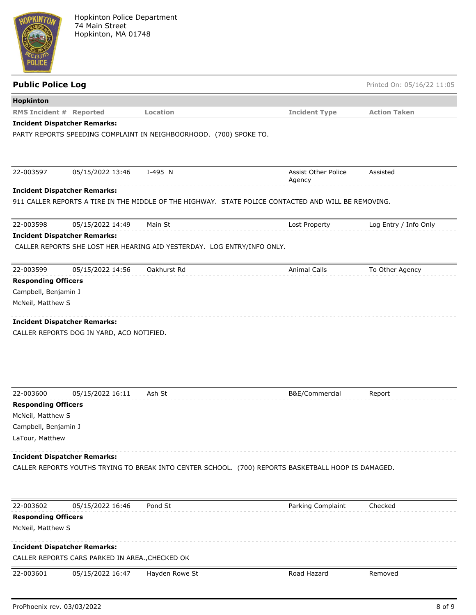

| <b>Public Police Log</b>                           |                                                 |                                                                         |                                                                                                      | Printed On: 05/16/22 11:05 |
|----------------------------------------------------|-------------------------------------------------|-------------------------------------------------------------------------|------------------------------------------------------------------------------------------------------|----------------------------|
| Hopkinton                                          |                                                 |                                                                         |                                                                                                      |                            |
| <b>RMS Incident # Reported</b>                     |                                                 | Location                                                                | <b>Incident Type</b>                                                                                 | <b>Action Taken</b>        |
|                                                    | <b>Incident Dispatcher Remarks:</b>             |                                                                         |                                                                                                      |                            |
|                                                    |                                                 | PARTY REPORTS SPEEDING COMPLAINT IN NEIGHBOORHOOD. (700) SPOKE TO.      |                                                                                                      |                            |
| 22-003597                                          | 05/15/2022 13:46                                | I-495 N                                                                 | <b>Assist Other Police</b>                                                                           | Assisted                   |
|                                                    | <b>Incident Dispatcher Remarks:</b>             |                                                                         | Agency                                                                                               |                            |
|                                                    |                                                 |                                                                         | 911 CALLER REPORTS A TIRE IN THE MIDDLE OF THE HIGHWAY. STATE POLICE CONTACTED AND WILL BE REMOVING. |                            |
| 22-003598                                          | 05/15/2022 14:49                                | Main St                                                                 | Lost Property                                                                                        | Log Entry / Info Only      |
|                                                    | <b>Incident Dispatcher Remarks:</b>             |                                                                         |                                                                                                      |                            |
|                                                    |                                                 | CALLER REPORTS SHE LOST HER HEARING AID YESTERDAY. LOG ENTRY/INFO ONLY. |                                                                                                      |                            |
|                                                    |                                                 |                                                                         |                                                                                                      |                            |
| 22-003599                                          | 05/15/2022 14:56                                | Oakhurst Rd                                                             | <b>Animal Calls</b>                                                                                  | To Other Agency            |
| <b>Responding Officers</b><br>Campbell, Benjamin J |                                                 |                                                                         |                                                                                                      |                            |
| McNeil, Matthew S                                  |                                                 |                                                                         |                                                                                                      |                            |
|                                                    |                                                 |                                                                         |                                                                                                      |                            |
|                                                    | <b>Incident Dispatcher Remarks:</b>             |                                                                         |                                                                                                      |                            |
|                                                    | CALLER REPORTS DOG IN YARD, ACO NOTIFIED.       |                                                                         |                                                                                                      |                            |
|                                                    |                                                 |                                                                         |                                                                                                      |                            |
|                                                    |                                                 |                                                                         |                                                                                                      |                            |
|                                                    |                                                 |                                                                         |                                                                                                      |                            |
|                                                    |                                                 |                                                                         |                                                                                                      |                            |
| 22-003600                                          | 05/15/2022 16:11                                | Ash St                                                                  | B&E/Commercial                                                                                       | Report                     |
| <b>Responding Officers</b>                         |                                                 |                                                                         |                                                                                                      |                            |
| McNeil, Matthew S                                  |                                                 |                                                                         |                                                                                                      |                            |
| Campbell, Benjamin J                               |                                                 |                                                                         |                                                                                                      |                            |
| LaTour, Matthew                                    |                                                 |                                                                         |                                                                                                      |                            |
|                                                    | <b>Incident Dispatcher Remarks:</b>             |                                                                         |                                                                                                      |                            |
|                                                    |                                                 |                                                                         | CALLER REPORTS YOUTHS TRYING TO BREAK INTO CENTER SCHOOL. (700) REPORTS BASKETBALL HOOP IS DAMAGED.  |                            |
|                                                    |                                                 |                                                                         |                                                                                                      |                            |
|                                                    |                                                 |                                                                         |                                                                                                      |                            |
| 22-003602                                          | 05/15/2022 16:46                                | Pond St                                                                 | Parking Complaint                                                                                    | Checked                    |
| <b>Responding Officers</b>                         |                                                 |                                                                         |                                                                                                      |                            |
| McNeil, Matthew S                                  |                                                 |                                                                         |                                                                                                      |                            |
|                                                    | <b>Incident Dispatcher Remarks:</b>             |                                                                         |                                                                                                      |                            |
|                                                    | CALLER REPORTS CARS PARKED IN AREA., CHECKED OK |                                                                         |                                                                                                      |                            |
| 22-003601                                          | 05/15/2022 16:47                                | Hayden Rowe St                                                          | Road Hazard                                                                                          | Removed                    |